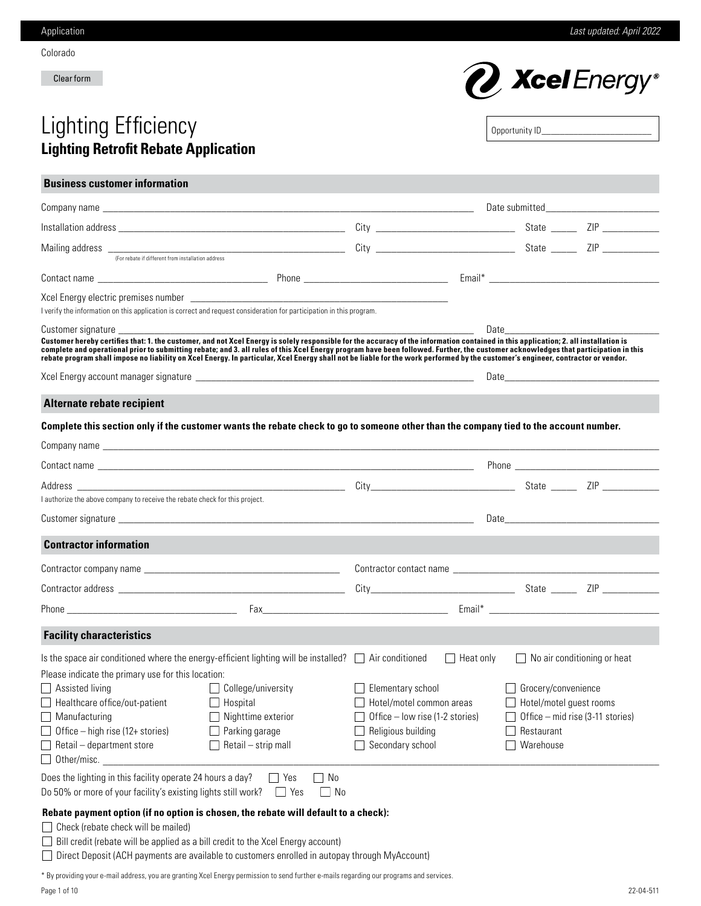Colorado

Clear form



# Lighting Efficiency **Lighting Retrofit Rebate Application**

**Business customer information**

| Opportunity ID____ |
|--------------------|
|                    |
|                    |
|                    |
|                    |

| I verify the information on this application is correct and request consideration for participation in this program.                                                                                                                                                                                                                                                                                                                                                                                                                                            |                      |                                                                                                                            |                  |                                                                                                                                                                                                                                |                                                                                                                                                                                                                                |
|-----------------------------------------------------------------------------------------------------------------------------------------------------------------------------------------------------------------------------------------------------------------------------------------------------------------------------------------------------------------------------------------------------------------------------------------------------------------------------------------------------------------------------------------------------------------|----------------------|----------------------------------------------------------------------------------------------------------------------------|------------------|--------------------------------------------------------------------------------------------------------------------------------------------------------------------------------------------------------------------------------|--------------------------------------------------------------------------------------------------------------------------------------------------------------------------------------------------------------------------------|
|                                                                                                                                                                                                                                                                                                                                                                                                                                                                                                                                                                 |                      |                                                                                                                            |                  | Date the control of the control of the control of the control of the control of the control of the control of the control of the control of the control of the control of the control of the control of the control of the con |                                                                                                                                                                                                                                |
| Customer hereby certifies that: 1. the customer, and not Xcel Energy is solely responsible for the accuracy of the information contained in this application; 2. all installation is<br>complete and operational prior to submitting rebate; and 3. all rules of this Xcel Energy program have been followed. Further, the customer acknowledges that participation in this<br>rebate program shall impose no liability on Xcel Energy. In particular, Xcel Energy shall not be liable for the work performed by the customer's engineer, contractor or vendor. |                      |                                                                                                                            |                  |                                                                                                                                                                                                                                |                                                                                                                                                                                                                                |
|                                                                                                                                                                                                                                                                                                                                                                                                                                                                                                                                                                 |                      |                                                                                                                            |                  |                                                                                                                                                                                                                                |                                                                                                                                                                                                                                |
| Alternate rebate recipient                                                                                                                                                                                                                                                                                                                                                                                                                                                                                                                                      |                      |                                                                                                                            |                  |                                                                                                                                                                                                                                |                                                                                                                                                                                                                                |
| Complete this section only if the customer wants the rebate check to go to someone other than the company tied to the account number.                                                                                                                                                                                                                                                                                                                                                                                                                           |                      |                                                                                                                            |                  |                                                                                                                                                                                                                                |                                                                                                                                                                                                                                |
|                                                                                                                                                                                                                                                                                                                                                                                                                                                                                                                                                                 |                      |                                                                                                                            |                  |                                                                                                                                                                                                                                |                                                                                                                                                                                                                                |
|                                                                                                                                                                                                                                                                                                                                                                                                                                                                                                                                                                 |                      |                                                                                                                            |                  |                                                                                                                                                                                                                                |                                                                                                                                                                                                                                |
|                                                                                                                                                                                                                                                                                                                                                                                                                                                                                                                                                                 |                      |                                                                                                                            |                  |                                                                                                                                                                                                                                |                                                                                                                                                                                                                                |
| authorize the above company to receive the rebate check for this project.                                                                                                                                                                                                                                                                                                                                                                                                                                                                                       |                      |                                                                                                                            |                  |                                                                                                                                                                                                                                |                                                                                                                                                                                                                                |
|                                                                                                                                                                                                                                                                                                                                                                                                                                                                                                                                                                 |                      |                                                                                                                            |                  |                                                                                                                                                                                                                                | Date and the contract of the contract of the contract of the contract of the contract of the contract of the contract of the contract of the contract of the contract of the contract of the contract of the contract of the c |
| <b>Contractor information</b>                                                                                                                                                                                                                                                                                                                                                                                                                                                                                                                                   |                      |                                                                                                                            |                  |                                                                                                                                                                                                                                |                                                                                                                                                                                                                                |
|                                                                                                                                                                                                                                                                                                                                                                                                                                                                                                                                                                 |                      |                                                                                                                            |                  |                                                                                                                                                                                                                                |                                                                                                                                                                                                                                |
|                                                                                                                                                                                                                                                                                                                                                                                                                                                                                                                                                                 |                      |                                                                                                                            |                  |                                                                                                                                                                                                                                |                                                                                                                                                                                                                                |
|                                                                                                                                                                                                                                                                                                                                                                                                                                                                                                                                                                 |                      |                                                                                                                            |                  |                                                                                                                                                                                                                                |                                                                                                                                                                                                                                |
| <b>Facility characteristics</b>                                                                                                                                                                                                                                                                                                                                                                                                                                                                                                                                 |                      |                                                                                                                            |                  |                                                                                                                                                                                                                                |                                                                                                                                                                                                                                |
| Is the space air conditioned where the energy-efficient lighting will be installed? $\Box$ Air conditioned<br>Please indicate the primary use for this location:<br>$\Box$ College/university<br>Assisted living<br>$\Box$ Hospital<br>$\Box$ Healthcare office/out-patient<br>$\Box$ Manufacturing<br>Nighttime exterior<br>$\Box$ Office – high rise (12+ stories)<br>Parking garage<br>$\Box$ Retail – department store<br>Retail - strip mall<br>$\Box$ Other/misc.<br>Does the lighting in this facility operate 24 hours a day?                           | $\Box$ No<br>$ $ Yes | Elementary school<br>Hotel/motel common areas<br>Office – low rise (1-2 stories)<br>Religious building<br>Secondary school | $\Box$ Heat only | Grocery/convenience<br>Hotel/motel guest rooms<br>Restaurant<br>Warehouse                                                                                                                                                      | $\Box$ No air conditioning or heat<br>Office - mid rise (3-11 stories)                                                                                                                                                         |
| Do 50% or more of your facility's existing lights still work?                                                                                                                                                                                                                                                                                                                                                                                                                                                                                                   | $\Box$ Yes<br>__  No |                                                                                                                            |                  |                                                                                                                                                                                                                                |                                                                                                                                                                                                                                |
| Rebate payment option (if no option is chosen, the rebate will default to a check):<br>$\Box$ Check (rebate check will be mailed)                                                                                                                                                                                                                                                                                                                                                                                                                               |                      |                                                                                                                            |                  |                                                                                                                                                                                                                                |                                                                                                                                                                                                                                |

 $\Box$  Bill credit (rebate will be applied as a bill credit to the Xcel Energy account)

Direct Deposit (ACH payments are available to customers enrolled in autopay through MyAccount)

\* By providing your e-mail address, you are granting Xcel Energy permission to send further e-mails regarding our programs and services.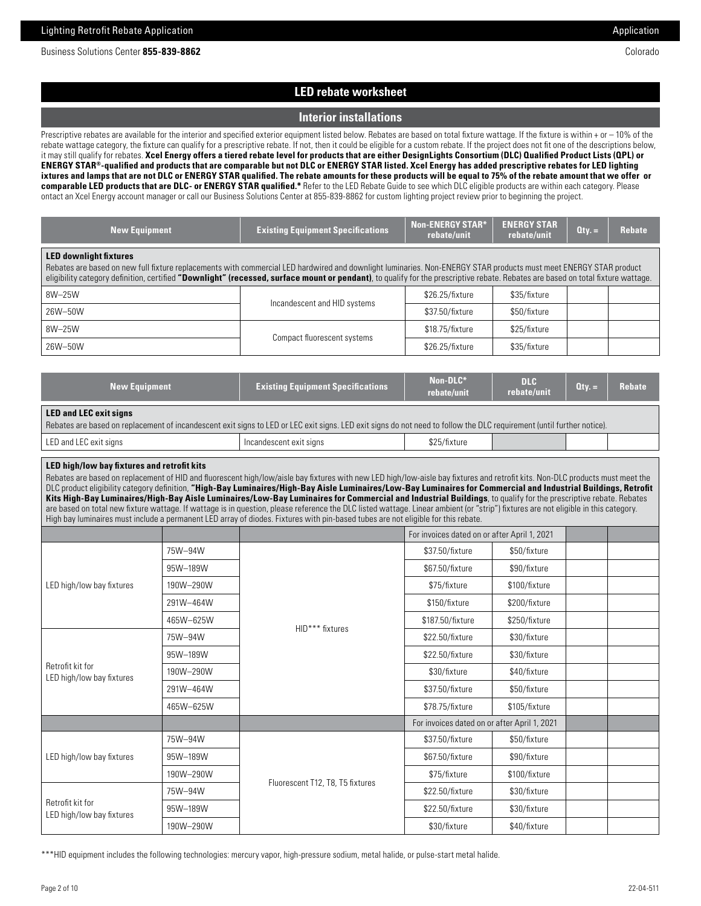# **LED rebate worksheet**

## **Interior installations**

Prescriptive rebates are available for the interior and specified exterior equipment listed below. Rebates are based on total fixture wattage. If the fixture is within + or – 10% of the rebate wattage category, the fixture can qualify for a prescriptive rebate. If not, then it could be eligible for a custom rebate. If the project does not fit one of the descriptions below, it may still qualify for rebates. **Xcel Energy offers a tiered rebate level for products that are either DesignLights Consortium (DLC) Qualified Product Lists (QPL) or ENERGY STAR®-qualified and products that are comparable but not DLC or ENERGY STAR listed. Xcel Energy has added prescriptive rebates for LED lighting ixtures and lamps that are not DLC or ENERGY STAR qualified. The rebate amounts for these products will be equal to 75% of the rebate amount that we offer or comparable LED products that are DLC- or ENERGY STAR qualified.\*** Refer to the LED Rebate Guide to see which DLC eligible products are within each category. Please ontact an Xcel Energy account manager or call our Business Solutions Center at 855-839-8862 for custom lighting project review prior to beginning the project.

| <b>New Equipment</b>                                                                                                                                                                                                                                                                                                                                                                   | <b>Existing Equipment Specifications</b> | <b>Non-ENERGY STAR*</b><br>rebate/unit | <b>ENERGY STAR</b><br>rebate/unit | $Qty =$ | <b>Rebate</b> |
|----------------------------------------------------------------------------------------------------------------------------------------------------------------------------------------------------------------------------------------------------------------------------------------------------------------------------------------------------------------------------------------|------------------------------------------|----------------------------------------|-----------------------------------|---------|---------------|
| <b>LED downlight fixtures</b><br>Rebates are based on new full fixture replacements with commercial LED hardwired and downlight luminaries. Non-ENERGY STAR products must meet ENERGY STAR product<br>eligibility category definition, certified "Downlight" (recessed, surface mount or pendant), to qualify for the prescriptive rebate. Rebates are based on total fixture wattage. |                                          |                                        |                                   |         |               |
| 8W-25W                                                                                                                                                                                                                                                                                                                                                                                 |                                          | \$26.25/fixture                        | \$35/fixture                      |         |               |
| 26W-50W                                                                                                                                                                                                                                                                                                                                                                                | Incandescent and HID systems             | \$37.50/fixture                        | \$50/fixture                      |         |               |
| 8W-25W                                                                                                                                                                                                                                                                                                                                                                                 |                                          | \$18.75/fixture                        | \$25/fixture                      |         |               |
| 26W-50W                                                                                                                                                                                                                                                                                                                                                                                | Compact fluorescent systems              | \$26.25/fixture                        | \$35/fixture                      |         |               |

| <b>New Equipment</b>                                                                                                                                                                                    | <b>Existing Equipment Specifications</b> | Non-DLC*<br>rebate/unit | DLC<br>rebate/unit | $Qty =$ | <b>Rebate</b> |
|---------------------------------------------------------------------------------------------------------------------------------------------------------------------------------------------------------|------------------------------------------|-------------------------|--------------------|---------|---------------|
| <b>LED and LEC exit signs</b><br>Rebates are based on replacement of incandescent exit signs to LED or LEC exit signs. LED exit signs do not need to follow the DLC requirement (until further notice). |                                          |                         |                    |         |               |
| LED and LEC exit signs                                                                                                                                                                                  | Incandescent exit signs                  | \$25/fixture            |                    |         |               |

## **LED high/low bay fixtures and retrofit kits**

Rebates are based on replacement of HID and fluorescent high/low/aisle bay fixtures with new LED high/low-aisle bay fixtures and retrofit kits. Non-DLC products must meet the DLC product eligibility category definition, "High-Bay Luminaires/High-Bay Aisle Luminaires/Low-Bay Luminaires for Commercial and Industrial Buildings, Retrofit **Kits High-Bay Luminaires/High-Bay Aisle Luminaires/Low-Bay Luminaires for Commercial and Industrial Buildings**, to qualify for the prescriptive rebate. Rebates are based on total new fixture wattage. If wattage is in question, please reference the DLC listed wattage. Linear ambient (or "strip") fixtures are not eligible in this category. High bay luminaires must include a permanent LED array of diodes. Fixtures with pin-based tubes are not eligible for this rebate.

|                                               |           |                                  | For invoices dated on or after April 1, 2021 |               |  |
|-----------------------------------------------|-----------|----------------------------------|----------------------------------------------|---------------|--|
|                                               | 75W-94W   |                                  | \$37.50/fixture                              | \$50/fixture  |  |
|                                               | 95W-189W  |                                  | \$67.50/fixture                              | \$90/fixture  |  |
| LED high/low bay fixtures                     | 190W-290W |                                  | \$75/fixture                                 | \$100/fixture |  |
|                                               | 291W-464W |                                  | \$150/fixture                                | \$200/fixture |  |
|                                               | 465W-625W | HID*** fixtures                  | \$187.50/fixture                             | \$250/fixture |  |
| Retrofit kit for<br>LED high/low bay fixtures | 75W-94W   |                                  | \$22.50/fixture                              | \$30/fixture  |  |
|                                               | 95W-189W  |                                  | \$22.50/fixture                              | \$30/fixture  |  |
|                                               | 190W-290W |                                  | \$30/fixture                                 | \$40/fixture  |  |
|                                               | 291W-464W |                                  | \$37.50/fixture                              | \$50/fixture  |  |
|                                               | 465W-625W |                                  | \$78.75/fixture                              | \$105/fixture |  |
|                                               |           |                                  | For invoices dated on or after April 1, 2021 |               |  |
|                                               | 75W-94W   |                                  | \$37.50/fixture                              | \$50/fixture  |  |
| LED high/low bay fixtures                     | 95W-189W  |                                  | \$67.50/fixture                              | \$90/fixture  |  |
|                                               | 190W-290W |                                  | \$75/fixture                                 | \$100/fixture |  |
| Retrofit kit for<br>LED high/low bay fixtures | 75W-94W   | Fluorescent T12, T8, T5 fixtures | \$22.50/fixture                              | \$30/fixture  |  |
|                                               | 95W-189W  |                                  | \$22.50/fixture                              | \$30/fixture  |  |
|                                               | 190W-290W |                                  | \$30/fixture                                 | \$40/fixture  |  |

\*\*\*HID equipment includes the following technologies: mercury vapor, high-pressure sodium, metal halide, or pulse-start metal halide.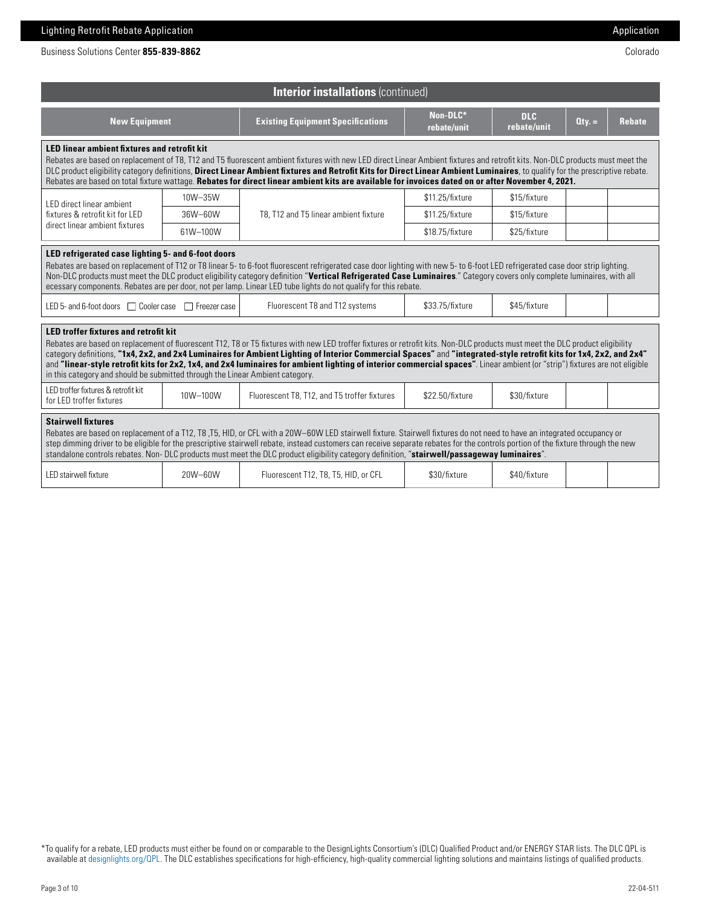| Business Solutions Center <b>855-839-8862</b> | Colorado |
|-----------------------------------------------|----------|
|                                               |          |

| <b>Interior installations (continued)</b>                                                                                                                                                                                                                                                                                                                                                                                                                                                                                                                                                                                                                           |          |                                                                                                                                                                                                                                                                                                                                                                                                                                                                                                                    |                         |                           |         |               |
|---------------------------------------------------------------------------------------------------------------------------------------------------------------------------------------------------------------------------------------------------------------------------------------------------------------------------------------------------------------------------------------------------------------------------------------------------------------------------------------------------------------------------------------------------------------------------------------------------------------------------------------------------------------------|----------|--------------------------------------------------------------------------------------------------------------------------------------------------------------------------------------------------------------------------------------------------------------------------------------------------------------------------------------------------------------------------------------------------------------------------------------------------------------------------------------------------------------------|-------------------------|---------------------------|---------|---------------|
| <b>New Equipment</b>                                                                                                                                                                                                                                                                                                                                                                                                                                                                                                                                                                                                                                                |          | <b>Existing Equipment Specifications</b>                                                                                                                                                                                                                                                                                                                                                                                                                                                                           | Non-DLC*<br>rebate/unit | <b>DLC</b><br>rebate/unit | $Qty =$ | <b>Rebate</b> |
| <b>LED linear ambient fixtures and retrofit kit</b>                                                                                                                                                                                                                                                                                                                                                                                                                                                                                                                                                                                                                 |          | Rebates are based on replacement of T8, T12 and T5 fluorescent ambient fixtures with new LED direct Linear Ambient fixtures and retrofit kits. Non-DLC products must meet the<br>DLC product eligibility category definitions, Direct Linear Ambient fixtures and Retrofit Kits for Direct Linear Ambient Luminaires, to qualify for the prescriptive rebate.<br>Rebates are based on total fixture wattage. Rebates for direct linear ambient kits are available for invoices dated on or after November 4, 2021. |                         |                           |         |               |
| LED direct linear ambient                                                                                                                                                                                                                                                                                                                                                                                                                                                                                                                                                                                                                                           | 10W-35W  |                                                                                                                                                                                                                                                                                                                                                                                                                                                                                                                    | \$11.25/fixture         | \$15/fixture              |         |               |
| fixtures & retrofit kit for LED<br>direct linear ambient fixtures                                                                                                                                                                                                                                                                                                                                                                                                                                                                                                                                                                                                   | 36W-60W  | T8. T12 and T5 linear ambient fixture                                                                                                                                                                                                                                                                                                                                                                                                                                                                              | \$11.25/fixture         | \$15/fixture              |         |               |
|                                                                                                                                                                                                                                                                                                                                                                                                                                                                                                                                                                                                                                                                     | 61W-100W |                                                                                                                                                                                                                                                                                                                                                                                                                                                                                                                    | \$18.75/fixture         | \$25/fixture              |         |               |
| Non-DLC products must meet the DLC product eligibility category definition "Vertical Refrigerated Case Luminaires." Category covers only complete luminaires, with all<br>ecessary components. Rebates are per door, not per lamp. Linear LED tube lights do not qualify for this rebate.<br>Fluorescent T8 and T12 systems<br>\$33.75/fixture<br>\$45/fixture<br>LED 5- and 6-foot doors  Cooler case<br>Freezer case                                                                                                                                                                                                                                              |          |                                                                                                                                                                                                                                                                                                                                                                                                                                                                                                                    |                         |                           |         |               |
| <b>LED troffer fixtures and retrofit kit</b><br>Rebates are based on replacement of fluorescent T12, T8 or T5 fixtures with new LED troffer fixtures or retrofit kits. Non-DLC products must meet the DLC product eligibility<br>category definitions, "1x4, 2x2, and 2x4 Luminaires for Ambient Lighting of Interior Commercial Spaces" and "integrated-style retrofit kits for 1x4, 2x2, and 2x4"<br>and "linear-style retrofit kits for 2x2, 1x4, and 2x4 luminaires for ambient lighting of interior commercial spaces". Linear ambient (or "strip") fixtures are not eligible<br>in this category and should be submitted through the Linear Ambient category. |          |                                                                                                                                                                                                                                                                                                                                                                                                                                                                                                                    |                         |                           |         |               |
| LED troffer fixtures & retrofit kit<br>for LED troffer fixtures                                                                                                                                                                                                                                                                                                                                                                                                                                                                                                                                                                                                     | 10W-100W | Fluorescent T8, T12, and T5 troffer fixtures                                                                                                                                                                                                                                                                                                                                                                                                                                                                       | \$22.50/fixture         | \$30/fixture              |         |               |
| <b>Stairwell fixtures</b><br>Rebates are based on replacement of a T12, T8, T5, HID, or CFL with a 20W-60W LED stairwell fixture. Stairwell fixtures do not need to have an integrated occupancy or<br>step dimming driver to be eligible for the prescriptive stairwell rebate, instead customers can receive separate rebates for the controls portion of the fixture through the new<br>standalone controls rebates. Non-DLC products must meet the DLC product eligibility category definition, "stairwell/passageway luminaires".                                                                                                                              |          |                                                                                                                                                                                                                                                                                                                                                                                                                                                                                                                    |                         |                           |         |               |
| LED stairwell fixture                                                                                                                                                                                                                                                                                                                                                                                                                                                                                                                                                                                                                                               | 20W-60W  | Fluorescent T12, T8, T5, HID, or CFL                                                                                                                                                                                                                                                                                                                                                                                                                                                                               | \$30/fixture            | \$40/fixture              |         |               |

\*To qualify for a rebate, LED products must either be found on or comparable to the DesignLights Consortium's (DLC) Qualified Product and/or ENERGY STAR lists. The DLC QPL is available at [designlights.org/QPL](https://www.designlights.org/search/). The DLC establishes specifications for high-efficiency, high-quality commercial lighting solutions and maintains listings of qualified products.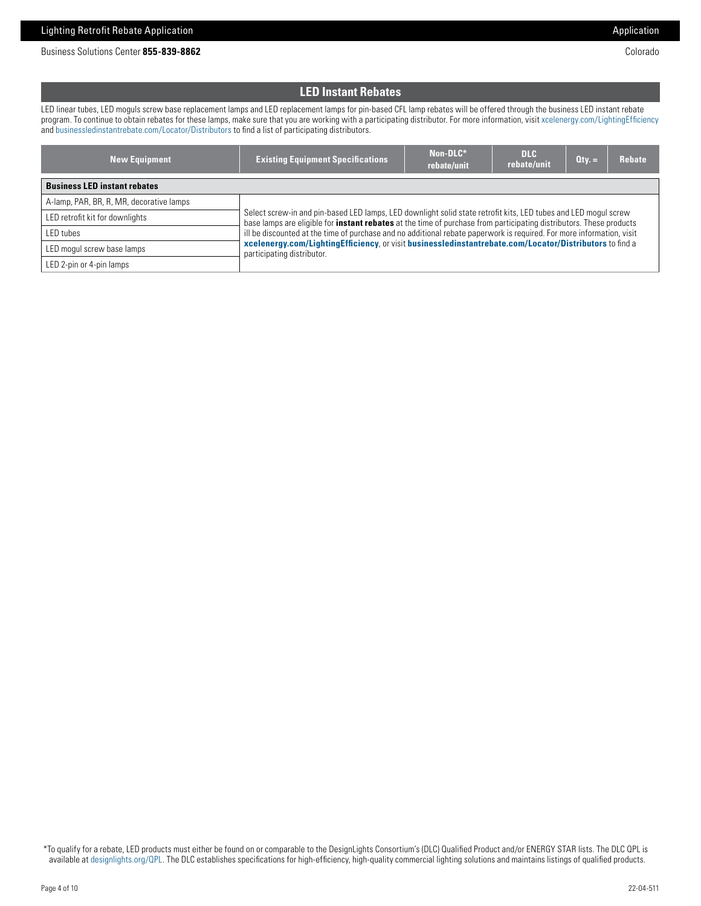Business Solutions Center **855-839-8862** Colorado

# **LED Instant Rebates**

LED linear tubes, LED moguls screw base replacement lamps and LED replacement lamps for pin-based CFL lamp rebates will be offered through the business LED instant rebate program. To continue to obtain rebates for these lamps, make sure that you are working with a participating distributor. For more information, visit [xcelenergy.com/LightingEfficiency](https://www.xcelenergy.com/programs_and_rebates/business_programs_and_rebates/equipment_rebates/lighting_efficiency) and [businessledinstantrebate.com/Locator/Distributors](https://www.businessledinstantrebate.com/Locator/Distributors) to find a list of participating distributors.

| <b>New Equipment</b>                     | <b>Existing Equipment Specifications</b>                                                                                                                                                                                                                       | Non-DLC*<br>rebate/unit | <b>DLC</b><br>rebate/unit | $Qty =$ | Rebate |
|------------------------------------------|----------------------------------------------------------------------------------------------------------------------------------------------------------------------------------------------------------------------------------------------------------------|-------------------------|---------------------------|---------|--------|
| <b>Business LED instant rebates</b>      |                                                                                                                                                                                                                                                                |                         |                           |         |        |
| A-lamp, PAR, BR, R, MR, decorative lamps |                                                                                                                                                                                                                                                                |                         |                           |         |        |
| LED retrofit kit for downlights          | Select screw-in and pin-based LED lamps, LED downlight solid state retrofit kits, LED tubes and LED mogul screw<br>base lamps are eligible for <b>instant rebates</b> at the time of purchase from participating distributors. These products                  |                         |                           |         |        |
| LED tubes                                | ill be discounted at the time of purchase and no additional rebate paperwork is required. For more information, visit<br>xcelenergy.com/LightingEfficiency, or visit businessledinstantrebate.com/Locator/Distributors to find a<br>participating distributor. |                         |                           |         |        |
| LED mogul screw base lamps               |                                                                                                                                                                                                                                                                |                         |                           |         |        |
| LED 2-pin or 4-pin lamps                 |                                                                                                                                                                                                                                                                |                         |                           |         |        |

 \*To qualify for a rebate, LED products must either be found on or comparable to the DesignLights Consortium's (DLC) Qualified Product and/or ENERGY STAR lists. The DLC QPL is available at [designlights.org/QPL.](https://www.designlights.org/search/) The DLC establishes specifications for high-efficiency, high-quality commercial lighting solutions and maintains listings of qualified products.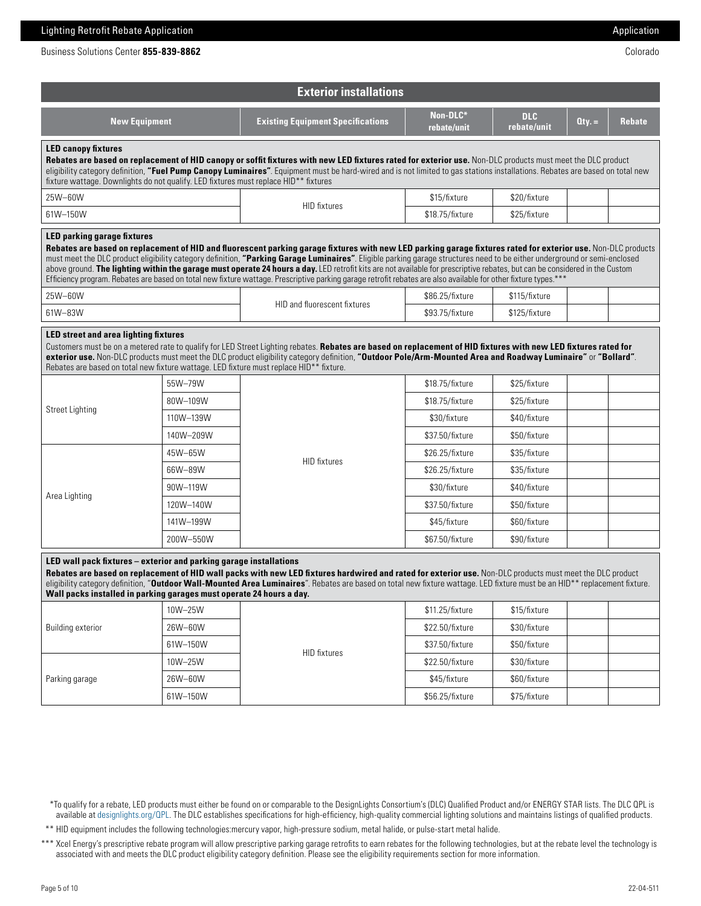| Business Solutions Center <b>855-839-8862</b> | Colorado |
|-----------------------------------------------|----------|
|                                               |          |

| <b>Exterior installations</b>                                                                                                                                                                                                                                                                                                                                                                                                                                                         |           |                                                                                                                                                                                                                                                                                                                                                                                                                                                                                                                                                                                                                                                                                              |                         |                           |          |               |  |
|---------------------------------------------------------------------------------------------------------------------------------------------------------------------------------------------------------------------------------------------------------------------------------------------------------------------------------------------------------------------------------------------------------------------------------------------------------------------------------------|-----------|----------------------------------------------------------------------------------------------------------------------------------------------------------------------------------------------------------------------------------------------------------------------------------------------------------------------------------------------------------------------------------------------------------------------------------------------------------------------------------------------------------------------------------------------------------------------------------------------------------------------------------------------------------------------------------------------|-------------------------|---------------------------|----------|---------------|--|
| <b>New Equipment</b>                                                                                                                                                                                                                                                                                                                                                                                                                                                                  |           | <b>Existing Equipment Specifications</b>                                                                                                                                                                                                                                                                                                                                                                                                                                                                                                                                                                                                                                                     | Non-DLC*<br>rebate/unit | <b>DLC</b><br>rebate/unit | $Qty. =$ | <b>Rebate</b> |  |
| <b>LED canopy fixtures</b><br>Rebates are based on replacement of HID canopy or soffit fixtures with new LED fixtures rated for exterior use. Non-DLC products must meet the DLC product<br>eligibility category definition, "Fuel Pump Canopy Luminaires". Equipment must be hard-wired and is not limited to gas stations installations. Rebates are based on total new<br>fixture wattage. Downlights do not qualify. LED fixtures must replace HID** fixtures                     |           |                                                                                                                                                                                                                                                                                                                                                                                                                                                                                                                                                                                                                                                                                              |                         |                           |          |               |  |
| 25W-60W                                                                                                                                                                                                                                                                                                                                                                                                                                                                               |           | <b>HID</b> fixtures                                                                                                                                                                                                                                                                                                                                                                                                                                                                                                                                                                                                                                                                          | \$15/fixture            | \$20/fixture              |          |               |  |
| 61W-150W                                                                                                                                                                                                                                                                                                                                                                                                                                                                              |           |                                                                                                                                                                                                                                                                                                                                                                                                                                                                                                                                                                                                                                                                                              | \$18.75/fixture         | \$25/fixture              |          |               |  |
| LED parking garage fixtures                                                                                                                                                                                                                                                                                                                                                                                                                                                           |           | Rebates are based on replacement of HID and fluorescent parking garage fixtures with new LED parking garage fixtures rated for exterior use. Non-DLC products<br>must meet the DLC product eligibility category definition, "Parking Garage Luminaires". Eligible parking garage structures need to be either underground or semi-enclosed<br>above ground. The lighting within the garage must operate 24 hours a day. LED retrofit kits are not available for prescriptive rebates, but can be considered in the Custom<br>Efficiency program. Rebates are based on total new fixture wattage. Prescriptive parking garage retrofit rebates are also available for other fixture types.*** |                         |                           |          |               |  |
| 25W-60W                                                                                                                                                                                                                                                                                                                                                                                                                                                                               |           | HID and fluorescent fixtures                                                                                                                                                                                                                                                                                                                                                                                                                                                                                                                                                                                                                                                                 | \$86.25/fixture         | \$115/fixture             |          |               |  |
| 61W-83W                                                                                                                                                                                                                                                                                                                                                                                                                                                                               |           |                                                                                                                                                                                                                                                                                                                                                                                                                                                                                                                                                                                                                                                                                              | \$93.75/fixture         | \$125/fixture             |          |               |  |
| <b>LED</b> street and area lighting fixtures<br>Customers must be on a metered rate to qualify for LED Street Lighting rebates. Rebates are based on replacement of HID fixtures with new LED fixtures rated for<br>exterior use. Non-DLC products must meet the DLC product eligibility category definition, "Outdoor Pole/Arm-Mounted Area and Roadway Luminaire" or "Bollard".<br>Rebates are based on total new fixture wattage. LED fixture must replace HID** fixture.          |           |                                                                                                                                                                                                                                                                                                                                                                                                                                                                                                                                                                                                                                                                                              |                         |                           |          |               |  |
|                                                                                                                                                                                                                                                                                                                                                                                                                                                                                       | 55W-79W   |                                                                                                                                                                                                                                                                                                                                                                                                                                                                                                                                                                                                                                                                                              | \$18.75/fixture         | \$25/fixture              |          |               |  |
| <b>Street Lighting</b>                                                                                                                                                                                                                                                                                                                                                                                                                                                                | 80W-109W  |                                                                                                                                                                                                                                                                                                                                                                                                                                                                                                                                                                                                                                                                                              | \$18.75/fixture         | \$25/fixture              |          |               |  |
|                                                                                                                                                                                                                                                                                                                                                                                                                                                                                       | 110W-139W |                                                                                                                                                                                                                                                                                                                                                                                                                                                                                                                                                                                                                                                                                              | \$30/fixture            | \$40/fixture              |          |               |  |
|                                                                                                                                                                                                                                                                                                                                                                                                                                                                                       | 140W-209W |                                                                                                                                                                                                                                                                                                                                                                                                                                                                                                                                                                                                                                                                                              | \$37.50/fixture         | \$50/fixture              |          |               |  |
|                                                                                                                                                                                                                                                                                                                                                                                                                                                                                       | 45W-65W   | <b>HID</b> fixtures                                                                                                                                                                                                                                                                                                                                                                                                                                                                                                                                                                                                                                                                          | \$26.25/fixture         | \$35/fixture              |          |               |  |
|                                                                                                                                                                                                                                                                                                                                                                                                                                                                                       | 66W-89W   |                                                                                                                                                                                                                                                                                                                                                                                                                                                                                                                                                                                                                                                                                              | \$26.25/fixture         | \$35/fixture              |          |               |  |
| Area Lighting                                                                                                                                                                                                                                                                                                                                                                                                                                                                         | 90W-119W  |                                                                                                                                                                                                                                                                                                                                                                                                                                                                                                                                                                                                                                                                                              | \$30/fixture            | \$40/fixture              |          |               |  |
|                                                                                                                                                                                                                                                                                                                                                                                                                                                                                       | 120W-140W |                                                                                                                                                                                                                                                                                                                                                                                                                                                                                                                                                                                                                                                                                              | \$37.50/fixture         | \$50/fixture              |          |               |  |
|                                                                                                                                                                                                                                                                                                                                                                                                                                                                                       | 141W-199W |                                                                                                                                                                                                                                                                                                                                                                                                                                                                                                                                                                                                                                                                                              | \$45/fixture            | \$60/fixture              |          |               |  |
|                                                                                                                                                                                                                                                                                                                                                                                                                                                                                       | 200W-550W |                                                                                                                                                                                                                                                                                                                                                                                                                                                                                                                                                                                                                                                                                              | \$67.50/fixture         | \$90/fixture              |          |               |  |
| LED wall pack fixtures - exterior and parking garage installations<br>Rebates are based on replacement of HID wall packs with new LED fixtures hardwired and rated for exterior use. Non-DLC products must meet the DLC product<br>eligibility category definition, "Outdoor Wall-Mounted Area Luminaires". Rebates are based on total new fixture wattage. LED fixture must be an HID** replacement fixture.<br>Wall packs installed in parking garages must operate 24 hours a day. |           |                                                                                                                                                                                                                                                                                                                                                                                                                                                                                                                                                                                                                                                                                              |                         |                           |          |               |  |
|                                                                                                                                                                                                                                                                                                                                                                                                                                                                                       | 10W-25W   |                                                                                                                                                                                                                                                                                                                                                                                                                                                                                                                                                                                                                                                                                              | \$11.25/fixture         | \$15/fixture              |          |               |  |
| <b>Building exterior</b>                                                                                                                                                                                                                                                                                                                                                                                                                                                              | 26W-60W   |                                                                                                                                                                                                                                                                                                                                                                                                                                                                                                                                                                                                                                                                                              | \$22.50/fixture         | \$30/fixture              |          |               |  |
|                                                                                                                                                                                                                                                                                                                                                                                                                                                                                       | 61W-150W  | <b>HID</b> fixtures                                                                                                                                                                                                                                                                                                                                                                                                                                                                                                                                                                                                                                                                          | \$37.50/fixture         | \$50/fixture              |          |               |  |
|                                                                                                                                                                                                                                                                                                                                                                                                                                                                                       | 10W-25W   |                                                                                                                                                                                                                                                                                                                                                                                                                                                                                                                                                                                                                                                                                              | \$22.50/fixture         | \$30/fixture              |          |               |  |
| Parking garage                                                                                                                                                                                                                                                                                                                                                                                                                                                                        | 26W-60W   |                                                                                                                                                                                                                                                                                                                                                                                                                                                                                                                                                                                                                                                                                              | \$45/fixture            | \$60/fixture              |          |               |  |
|                                                                                                                                                                                                                                                                                                                                                                                                                                                                                       | 61W-150W  |                                                                                                                                                                                                                                                                                                                                                                                                                                                                                                                                                                                                                                                                                              | \$56.25/fixture         | \$75/fixture              |          |               |  |

\*\*\*To qualify for a rebate, LED products must either be found on or comparable to the DesignLights Consortium's (DLC) Qualified Product and/or ENERGY STAR lists. The DLC QPL is available at [designlights.org/QPL.](https://www.designlights.org/search/) The DLC establishes specifications for high-efficiency, high-quality commercial lighting solutions and maintains listings of qualified products.

\*\*\* HID equipment includes the following technologies:mercury vapor, high-pressure sodium, metal halide, or pulse-start metal halide.

\*\*\* Xcel Energy's prescriptive rebate program will allow prescriptive parking garage retrofits to earn rebates for the following technologies, but at the rebate level the technology is associated with and meets the DLC product eligibility category definition. Please see the eligibility requirements section for more information.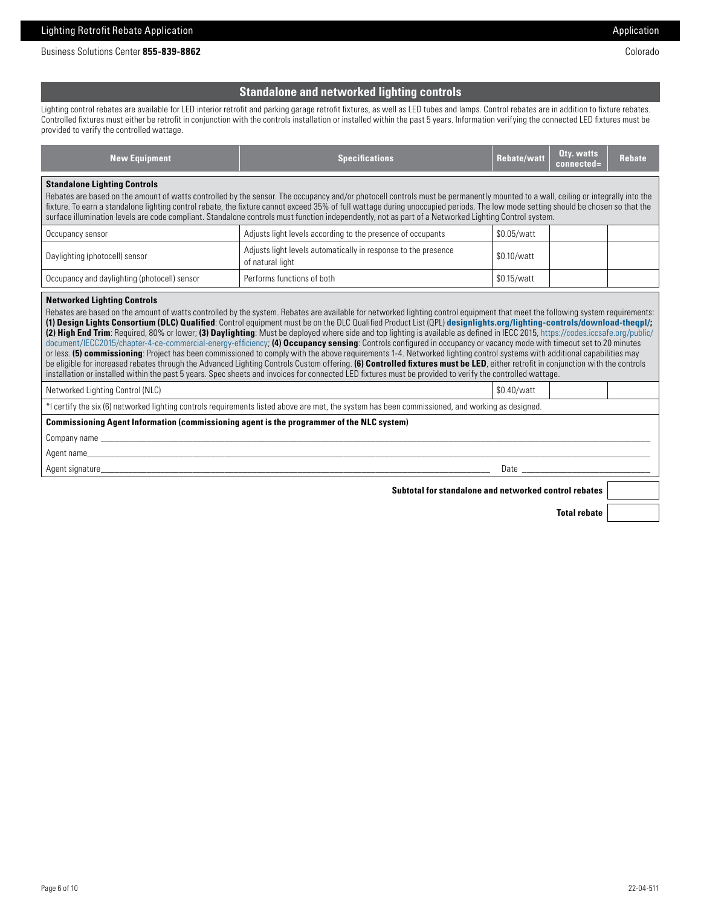Business Solutions Center 855-839-8862 Colorado

## **Standalone and networked lighting controls**

Lighting control rebates are available for LED interior retrofit and parking garage retrofit fixtures, as well as LED tubes and lamps. Control rebates are in addition to fixture rebates. Controlled fixtures must either be retrofit in conjunction with the controls installation or installed within the past 5 years. Information verifying the connected LED fixtures must be provided to verify the controlled wattage.

| <b>New Equipment</b>                                                                                                                                                                                                                                                                                                                                                                                                                                                                                                                                                                                                                                                                                                                                                                                                                                                                                                                                                                                                                                                                                                                                                                                                                          | <b>Specifications</b>                                                                                                                            | <b>Rebate/watt</b> | <b>Qty. watts</b><br>connected= | <b>Rebate</b> |  |  |  |
|-----------------------------------------------------------------------------------------------------------------------------------------------------------------------------------------------------------------------------------------------------------------------------------------------------------------------------------------------------------------------------------------------------------------------------------------------------------------------------------------------------------------------------------------------------------------------------------------------------------------------------------------------------------------------------------------------------------------------------------------------------------------------------------------------------------------------------------------------------------------------------------------------------------------------------------------------------------------------------------------------------------------------------------------------------------------------------------------------------------------------------------------------------------------------------------------------------------------------------------------------|--------------------------------------------------------------------------------------------------------------------------------------------------|--------------------|---------------------------------|---------------|--|--|--|
| <b>Standalone Lighting Controls</b><br>Rebates are based on the amount of watts controlled by the sensor. The occupancy and/or photocell controls must be permanently mounted to a wall, ceiling or integrally into the<br>fixture. To earn a standalone lighting control rebate, the fixture cannot exceed 35% of full wattage during unoccupied periods. The low mode setting should be chosen so that the<br>surface illumination levels are code compliant. Standalone controls must function independently, not as part of a Networked Lighting Control system.                                                                                                                                                                                                                                                                                                                                                                                                                                                                                                                                                                                                                                                                          |                                                                                                                                                  |                    |                                 |               |  |  |  |
| Occupancy sensor                                                                                                                                                                                                                                                                                                                                                                                                                                                                                                                                                                                                                                                                                                                                                                                                                                                                                                                                                                                                                                                                                                                                                                                                                              | Adjusts light levels according to the presence of occupants                                                                                      | \$0.05/watt        |                                 |               |  |  |  |
| Daylighting (photocell) sensor                                                                                                                                                                                                                                                                                                                                                                                                                                                                                                                                                                                                                                                                                                                                                                                                                                                                                                                                                                                                                                                                                                                                                                                                                | Adjusts light levels automatically in response to the presence<br>of natural light                                                               | \$0.10/watt        |                                 |               |  |  |  |
| Occupancy and daylighting (photocell) sensor                                                                                                                                                                                                                                                                                                                                                                                                                                                                                                                                                                                                                                                                                                                                                                                                                                                                                                                                                                                                                                                                                                                                                                                                  | Performs functions of both                                                                                                                       | \$0.15/watt        |                                 |               |  |  |  |
| Rebates are based on the amount of watts controlled by the system. Rebates are available for networked lighting control equipment that meet the following system requirements:<br>(1) Design Lights Consortium (DLC) Qualified: Control equipment must be on the DLC Qualified Product List (QPL) designlights.org/lighting-controls/download-thegpl/;<br>(2) High End Trim: Required, 80% or lower; (3) Daylighting: Must be deployed where side and top lighting is available as defined in IECC 2015, https://codes.iccsafe.org/public/<br>document/IECC2015/chapter-4-ce-commercial-energy-efficiency; (4) Occupancy sensing: Controls configured in occupancy or vacancy mode with timeout set to 20 minutes<br>or less. (5) commissioning: Project has been commissioned to comply with the above requirements 1-4. Networked lighting control systems with additional capabilities may<br>be eligible for increased rebates through the Advanced Lighting Controls Custom offering. (6) Controlled fixtures must be LED, either retrofit in conjunction with the controls<br>installation or installed within the past 5 years. Spec sheets and invoices for connected LED fixtures must be provided to verify the controlled wattage. |                                                                                                                                                  |                    |                                 |               |  |  |  |
| Networked Lighting Control (NLC)                                                                                                                                                                                                                                                                                                                                                                                                                                                                                                                                                                                                                                                                                                                                                                                                                                                                                                                                                                                                                                                                                                                                                                                                              |                                                                                                                                                  | \$0.40/watt        |                                 |               |  |  |  |
|                                                                                                                                                                                                                                                                                                                                                                                                                                                                                                                                                                                                                                                                                                                                                                                                                                                                                                                                                                                                                                                                                                                                                                                                                                               | *I certify the six (6) networked lighting controls requirements listed above are met, the system has been commissioned, and working as designed. |                    |                                 |               |  |  |  |
| Commissioning Agent Information (commissioning agent is the programmer of the NLC system)<br>Company name that the company name that the contract of the contract of the contract of the contract of the contract of the contract of the contract of the contract of the contract of the contract of the contract of the co<br>Agent name and the state of the state of the state of the state of the state of the state of the state of the                                                                                                                                                                                                                                                                                                                                                                                                                                                                                                                                                                                                                                                                                                                                                                                                  |                                                                                                                                                  |                    |                                 |               |  |  |  |
| Agent signature experience and the state of the state of the state of the state of the state of the state of the state of the state of the state of the state of the state of the state of the state of the state of the state<br>Date                                                                                                                                                                                                                                                                                                                                                                                                                                                                                                                                                                                                                                                                                                                                                                                                                                                                                                                                                                                                        |                                                                                                                                                  |                    |                                 |               |  |  |  |
| Subtotal for standalone and networked control rebates                                                                                                                                                                                                                                                                                                                                                                                                                                                                                                                                                                                                                                                                                                                                                                                                                                                                                                                                                                                                                                                                                                                                                                                         |                                                                                                                                                  |                    |                                 |               |  |  |  |

**Total rebate**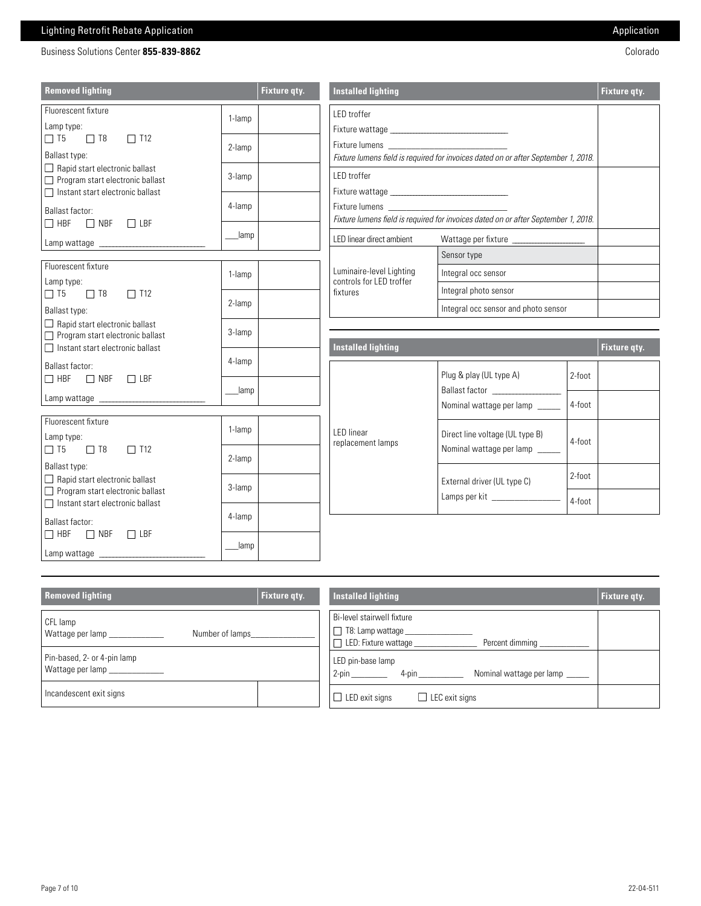# Lighting Retrofit Rebate Application **Application** Application Application Application Application

| Business Solutions Center 855-839-8862 | Colorado |
|----------------------------------------|----------|
|                                        |          |
|                                        |          |

| <b>Removed lighting</b>                                                                                                                                                                                                                          |        | Fixture qty. | <b>Installed lighting</b>                                                                         |                                                                       |        | Fixture qty. |
|--------------------------------------------------------------------------------------------------------------------------------------------------------------------------------------------------------------------------------------------------|--------|--------------|---------------------------------------------------------------------------------------------------|-----------------------------------------------------------------------|--------|--------------|
| Fluorescent fixture<br>1-lamp<br>Lamp type:<br>$\Box$ T8<br>$\Box$ T12<br>$\Box$ T5<br>2-lamp<br>Ballast type:<br>$\Box$ Rapid start electronic ballast<br>3-lamp<br>Program start electronic ballast<br>$\Box$ Instant start electronic ballast |        |              | LED troffer<br>Fixture lumens field is required for invoices dated on or after September 1, 2018. |                                                                       |        |              |
|                                                                                                                                                                                                                                                  |        |              | LED troffer                                                                                       |                                                                       |        |              |
| Ballast factor:<br>$\Box$ HBF $\Box$ NBF $\Box$ LBF                                                                                                                                                                                              | 4-lamp |              | Fixture lumens field is required for invoices dated on or after September 1, 2018.                |                                                                       |        |              |
|                                                                                                                                                                                                                                                  | _lamp  |              | LED linear direct ambient<br>Wattage per fixture _____________________                            |                                                                       |        |              |
| Fluorescent fixture                                                                                                                                                                                                                              |        |              |                                                                                                   | Sensor type                                                           |        |              |
| Lamp type:                                                                                                                                                                                                                                       | 1-lamp |              | Luminaire-level Lighting<br>controls for LED troffer                                              | Integral occ sensor                                                   |        |              |
| $\Box$ T8<br>$\Box$ T12<br>$\Box$ T5                                                                                                                                                                                                             | 2-lamp |              | fixtures                                                                                          | Integral photo sensor                                                 |        |              |
| Ballast type:                                                                                                                                                                                                                                    |        |              |                                                                                                   | Integral occ sensor and photo sensor                                  |        |              |
| $\Box$ Rapid start electronic ballast<br>Program start electronic ballast                                                                                                                                                                        | 3-lamp |              |                                                                                                   |                                                                       |        |              |
| $\Box$ Instant start electronic ballast                                                                                                                                                                                                          |        |              | <b>Installed lighting</b>                                                                         |                                                                       |        | Fixture gty. |
| Ballast factor:<br>$\Box$ HBF $\Box$ NBF $\Box$ LBF                                                                                                                                                                                              | 4-lamp |              |                                                                                                   | Plug & play (UL type A)<br>Ballast factor ____________________        | 2-foot |              |
|                                                                                                                                                                                                                                                  | lamp   |              |                                                                                                   |                                                                       |        |              |
|                                                                                                                                                                                                                                                  |        |              |                                                                                                   | Nominal wattage per lamp                                              | 4-foot |              |
| Fluorescent fixture<br>Lamp type:<br>$\Box$ T5<br>$\Box$ T8<br>$\Box$ T12<br>Ballast type:<br>$\Box$ Rapid start electronic ballast<br>Program start electronic ballast                                                                          | 1-lamp |              | <b>LED</b> linear<br>replacement lamps                                                            | Direct line voltage (UL type B)<br>4-foot<br>Nominal wattage per lamp |        |              |
|                                                                                                                                                                                                                                                  | 2-lamp |              |                                                                                                   |                                                                       |        |              |
|                                                                                                                                                                                                                                                  | 3-lamp |              |                                                                                                   | 2-foot<br>External driver (UL type C)<br>4-foot                       |        |              |
| $\Box$ Instant start electronic ballast<br>Ballast factor:                                                                                                                                                                                       | 4-lamp |              |                                                                                                   |                                                                       |        |              |
| $\Box$ HBF $\Box$ NBF $\Box$ LBF                                                                                                                                                                                                                 | lamp   |              |                                                                                                   |                                                                       |        |              |

| <b>Removed lighting</b>                         | Fixture gty. | <b>Installed lighting</b>                                                                                    | <b>Fixture gty.</b> |
|-------------------------------------------------|--------------|--------------------------------------------------------------------------------------------------------------|---------------------|
| CFL lamp<br>Wattage per lamp<br>Number of lamps |              | Bi-level stairwell fixture<br>  □ T8: Lamp wattage _______<br>$\Box$ LED: Fixture wattage<br>Percent dimming |                     |
| Pin-based, 2- or 4-pin lamp<br>Wattage per lamp |              | LED pin-base lamp<br>$4$ -pin<br>Nominal wattage per lamp                                                    |                     |
| Incandescent exit signs                         |              | $\Box$ LED exit signs<br>$\Box$ LEC exit signs                                                               |                     |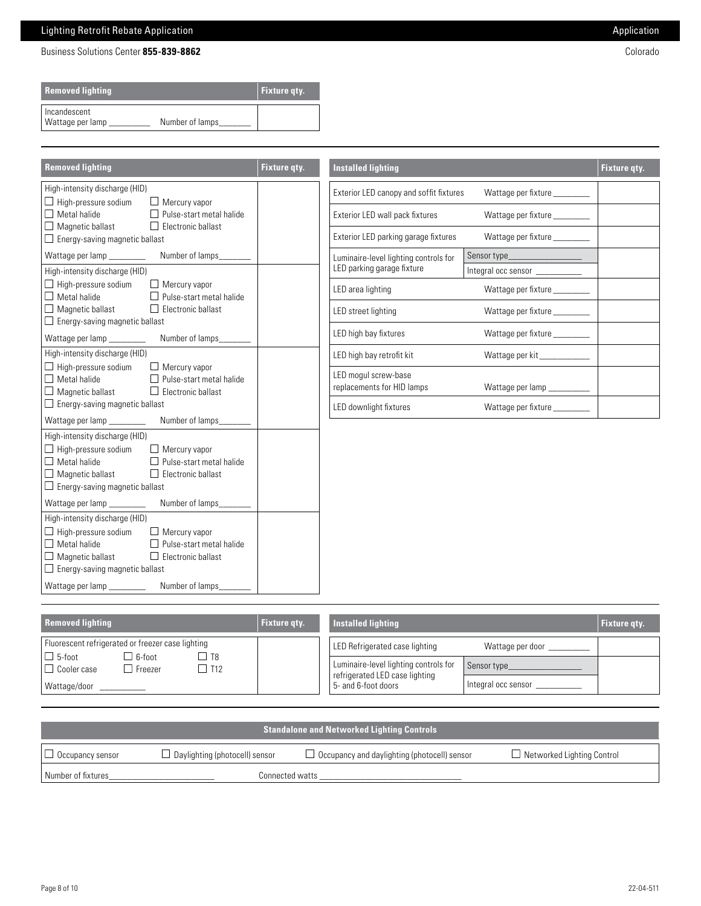# Lighting Retrofit Rebate Application **Application** Application Application Application

Business Solutions Center 855-839-8862 Colorado

| <b>Removed lighting</b>            |                 | <b>Fixture gty.</b> |
|------------------------------------|-----------------|---------------------|
| I Incandescent<br>Wattage per lamp | Number of lamps |                     |

| <b>Removed lighting</b>                                                                                                                                                                                                                                                                  | <b>Fixture qty.</b> | <b>Installed lighting</b>                                           |                                   | Fixture qty. |
|------------------------------------------------------------------------------------------------------------------------------------------------------------------------------------------------------------------------------------------------------------------------------------------|---------------------|---------------------------------------------------------------------|-----------------------------------|--------------|
| High-intensity discharge (HID)                                                                                                                                                                                                                                                           |                     | Exterior LED canopy and soffit fixtures                             |                                   |              |
| $\Box$ High-pressure sodium<br>$\Box$ Mercury vapor<br>$\Box$ Metal halide<br>Pulse-start metal halide                                                                                                                                                                                   |                     | Exterior LED wall pack fixtures                                     |                                   |              |
| $\Box$ Magnetic ballast<br>$\Box$ Electronic ballast<br>$\Box$ Energy-saving magnetic ballast                                                                                                                                                                                            |                     | Exterior LED parking garage fixtures                                | Wattage per fixture ________      |              |
| Wattage per lamp<br>Number of lamps_                                                                                                                                                                                                                                                     |                     | Luminaire-level lighting controls for<br>LED parking garage fixture | Sensor type _____________________ |              |
| High-intensity discharge (HID)<br>$\Box$ High-pressure sodium<br>$\Box$ Mercury vapor                                                                                                                                                                                                    |                     |                                                                     | Integral occ sensor ___________   |              |
| $\Box$ Metal halide<br>Pulse-start metal halide                                                                                                                                                                                                                                          |                     | LED area lighting                                                   | Wattage per fixture _________     |              |
| Magnetic ballast<br>$\Box$ Electronic ballast<br>$\Box$ Energy-saving magnetic ballast                                                                                                                                                                                                   |                     | LED street lighting                                                 | Wattage per fixture _________     |              |
| Wattage per lamp<br>Number of lamps_                                                                                                                                                                                                                                                     |                     | LED high bay fixtures                                               | Wattage per fixture ________      |              |
| High-intensity discharge (HID)                                                                                                                                                                                                                                                           |                     | LED high bay retrofit kit                                           | Wattage per kit____________       |              |
| $\Box$ High-pressure sodium<br>$\Box$ Mercury vapor<br>$\Box$ Metal halide<br>Pulse-start metal halide<br>$\Box$ Magnetic ballast<br>$\Box$ Electronic ballast                                                                                                                           |                     | LED mogul screw-base<br>replacements for HID lamps                  | Wattage per lamp __________       |              |
| $\Box$ Energy-saving magnetic ballast                                                                                                                                                                                                                                                    |                     | LED downlight fixtures                                              | Wattage per fixture ________      |              |
| Wattage per lamp<br>Number of lamps                                                                                                                                                                                                                                                      |                     |                                                                     |                                   |              |
| High-intensity discharge (HID)<br>$\Box$ High-pressure sodium<br>$\Box$ Mercury vapor<br>$\Box$ Metal halide<br>Pulse-start metal halide<br>$\Box$ Magnetic ballast<br>$\Box$ Electronic ballast<br>$\Box$ Energy-saving magnetic ballast                                                |                     |                                                                     |                                   |              |
| Wattage per lamp<br>Number of lamps____                                                                                                                                                                                                                                                  |                     |                                                                     |                                   |              |
| High-intensity discharge (HID)<br>$\Box$ High-pressure sodium<br>$\Box$ Mercury vapor<br>$\Box$ Metal halide<br>$\Box$ Pulse-start metal halide<br>$\Box$ Magnetic ballast<br>$\Box$ Electronic ballast<br>$\Box$ Energy-saving magnetic ballast<br>Wattage per lamp<br>Number of lamps_ |                     |                                                                     |                                   |              |

| <b>Removed lighting</b>                                                                  | Fixture gty. | <b>Installed lighting</b>                                               |                     | <b>Fixture gty.</b> |
|------------------------------------------------------------------------------------------|--------------|-------------------------------------------------------------------------|---------------------|---------------------|
| Fluorescent refrigerated or freezer case lighting                                        |              | LED Refrigerated case lighting                                          | Wattage per door    |                     |
| $6$ -foot<br>$\Box$ 5-foot<br>$\overline{18}$<br>I□ Cooler case<br>$\Box$ T12<br>Freezer |              | Luminaire-level lighting controls for<br>refrigerated LED case lighting | Sensor type         |                     |
| Wattage/door                                                                             |              | 5- and 6-foot doors                                                     | Integral occ sensor |                     |

| <b>Standalone and Networked Lighting Controls</b> |                                       |                                                     |                                   |  |  |
|---------------------------------------------------|---------------------------------------|-----------------------------------------------------|-----------------------------------|--|--|
| $\Box$ Occupancy sensor                           | $\Box$ Daylighting (photocell) sensor | $\Box$ Occupancy and daylighting (photocell) sensor | $\Box$ Networked Lighting Control |  |  |
| l Number of fixtures                              |                                       | Connected watts                                     |                                   |  |  |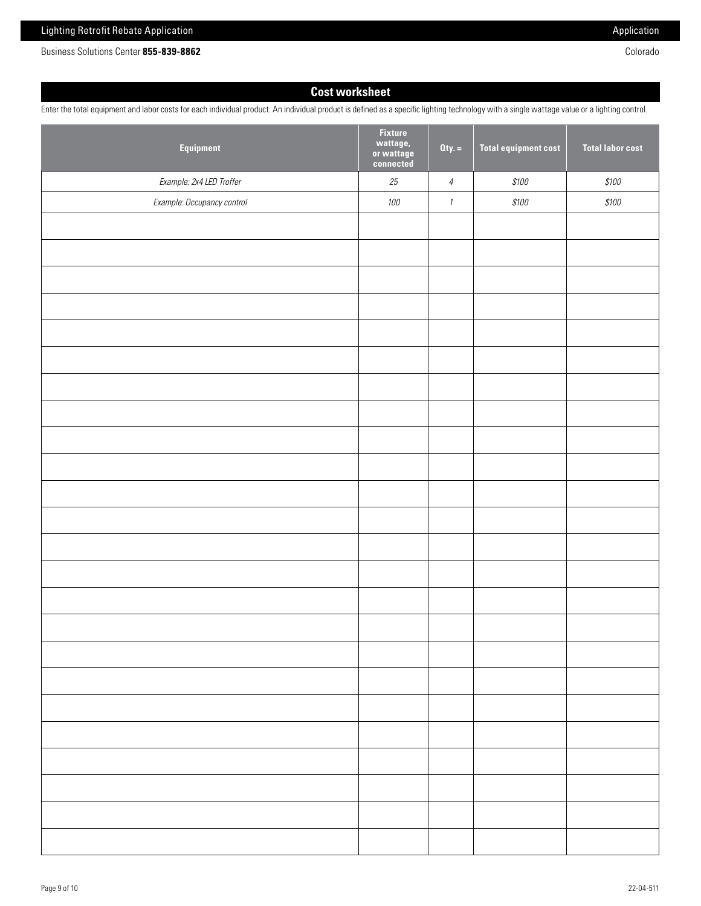Business Solutions Center **855-839-8862** Colorado

# **Cost worksheet**

Enter the total equipment and labor costs for each individual product. An individual product is defined as a specific lighting technology with a single wattage value or a lighting control.

| Equipment                  | <b>Fixture</b><br>wattage,<br>or wattage<br>connected | $Qty. =$                      | <b>Total equipment cost</b> | <b>Total labor cost</b> |
|----------------------------|-------------------------------------------------------|-------------------------------|-----------------------------|-------------------------|
| Example: 2x4 LED Troffer   | $25\,$                                                | $\ensuremath{\mathnormal{4}}$ | $$100$                      | $$100$                  |
| Example: Occupancy control | 100                                                   | $\it 1$                       | $$100$                      | \$100                   |
|                            |                                                       |                               |                             |                         |
|                            |                                                       |                               |                             |                         |
|                            |                                                       |                               |                             |                         |
|                            |                                                       |                               |                             |                         |
|                            |                                                       |                               |                             |                         |
|                            |                                                       |                               |                             |                         |
|                            |                                                       |                               |                             |                         |
|                            |                                                       |                               |                             |                         |
|                            |                                                       |                               |                             |                         |
|                            |                                                       |                               |                             |                         |
|                            |                                                       |                               |                             |                         |
|                            |                                                       |                               |                             |                         |
|                            |                                                       |                               |                             |                         |
|                            |                                                       |                               |                             |                         |
|                            |                                                       |                               |                             |                         |
|                            |                                                       |                               |                             |                         |
|                            |                                                       |                               |                             |                         |
|                            |                                                       |                               |                             |                         |
|                            |                                                       |                               |                             |                         |
|                            |                                                       |                               |                             |                         |
|                            |                                                       |                               |                             |                         |
|                            |                                                       |                               |                             |                         |
|                            |                                                       |                               |                             |                         |
|                            |                                                       |                               |                             |                         |